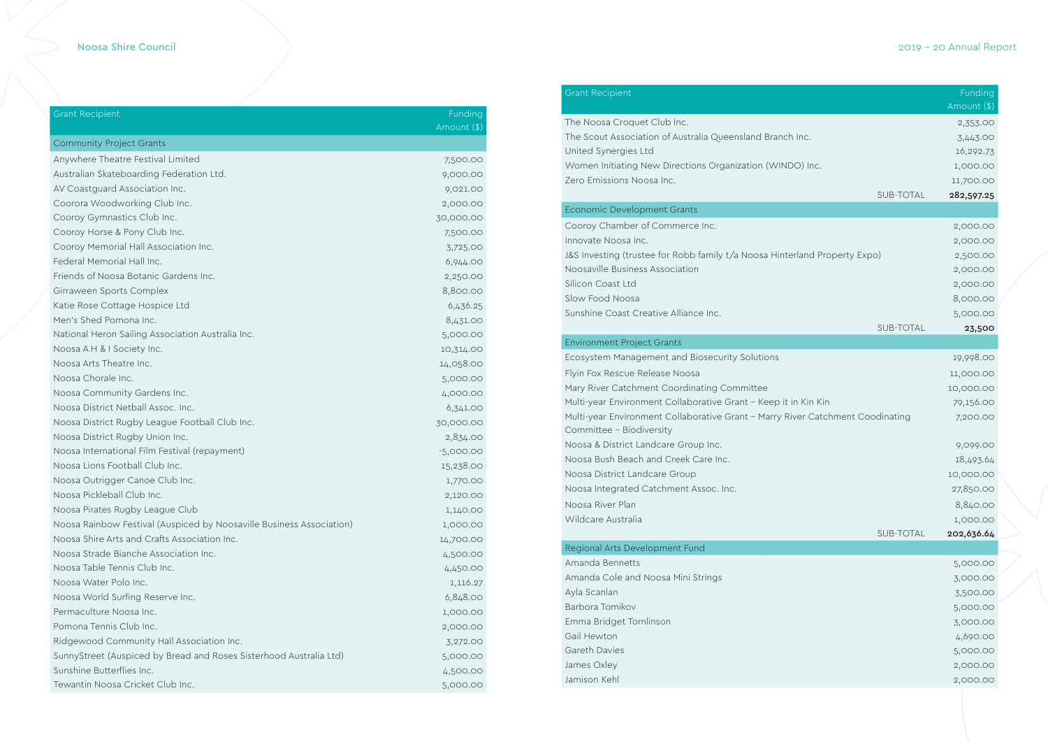## Noosa Shire Council 2019 - 20 Annual Report

| <b>Grant Recipient</b>                                               | Funding     |
|----------------------------------------------------------------------|-------------|
|                                                                      | Amount (\$) |
| <b>Community Project Grants</b>                                      |             |
| Anywhere Theatre Festival Limited                                    | 7,500.00    |
| Australian Skateboarding Federation Ltd.                             | 9,000.00    |
| AV Coastguard Association Inc.                                       | 9,021.00    |
| Coorora Woodworking Club Inc.                                        | 2,000.00    |
| Cooroy Gymnastics Club Inc.                                          | 30,000.00   |
| Cooroy Horse & Pony Club Inc.                                        | 7,500.00    |
| Cooroy Memorial Hall Association Inc.                                | 3,725.00    |
| Federal Memorial Hall Inc.                                           | 6,944.00    |
| Friends of Noosa Botanic Gardens Inc.                                | 2,250.00    |
| Girraween Sports Complex                                             | 8,800.00    |
| Katie Rose Cottage Hospice Ltd                                       | 6,436.25    |
| Men's Shed Pomona Inc.                                               | 8,431.00    |
| National Heron Sailing Association Australia Inc.                    | 5,000.00    |
| Noosa A H & I Society Inc.                                           | 10,314.00   |
| Noosa Arts Theatre Inc.                                              | 14,058.00   |
| Noosa Chorale Inc.                                                   | 5,000.00    |
| Noosa Community Gardens Inc.                                         | 4,000.00    |
| Noosa District Netball Assoc. Inc.                                   | 6,341.00    |
| Noosa District Rugby League Football Club Inc.                       | 30,000.00   |
| Noosa District Rugby Union Inc.                                      | 2,834.00    |
| Noosa International Film Festival (repayment)                        | $-5,000.00$ |
| Noosa Lions Football Club Inc.                                       | 15,238.00   |
| Noosa Outrigger Canoe Club Inc.                                      | 1,770.00    |
| Noosa Pickleball Club Inc.                                           | 2,120.00    |
| Noosa Pirates Rugby League Club                                      | 1,140.00    |
| Noosa Rainbow Festival (Auspiced by Noosaville Business Association) | 1,000.00    |
| Noosa Shire Arts and Crafts Association Inc.                         | 14,700.00   |
| Noosa Strade Bianche Association Inc.                                | 4,500.00    |
| Noosa Table Tennis Club Inc.                                         | 4,450.00    |
| Noosa Water Polo Inc.                                                | 1,116.27    |
| Noosa World Surfing Reserve Inc.                                     | 6,848.00    |
| Permaculture Noosa Inc.                                              | 1,000.00    |
| Pomona Tennis Club Inc.                                              | 2,000.00    |
| Ridgewood Community Hall Association Inc.                            | 3,272.00    |
| SunnyStreet (Auspiced by Bread and Roses Sisterhood Australia Ltd)   | 5,000.00    |
| Sunshine Butterflies Inc.                                            | 4,500.00    |
| Tewantin Noosa Cricket Club Inc.                                     | 5,000.00    |

### Grant Recipient

The Noosa Croquet Club Inc. The Scout Association of Australia Queensland Branch United Synergies Ltd Women Initiating New Directions Organization (WIND Zero Emissions Noosa Inc.

#### Economic Development Grants

Cooroy Chamber of Commerce Inc. Innovate Noosa Inc. J&S Investing (trustee for Robb family t/a Noosa Hinter Noosaville Business Association Silicon Coast Ltd Slow Food Noosa Sunshine Coast Creative Alliance Inc.

|                           |                  | Funding     |  |
|---------------------------|------------------|-------------|--|
|                           |                  | Amount (\$) |  |
| Inc.                      |                  | 2,353.00    |  |
|                           |                  | 3,443.00    |  |
|                           |                  | 16,292.73   |  |
| O) Inc.                   |                  | 1,000.00    |  |
|                           | <b>SUB-TOTAL</b> | 11,700.00   |  |
|                           |                  | 282,597.25  |  |
|                           |                  |             |  |
|                           |                  | 2,000.00    |  |
|                           |                  | 2,000.00    |  |
| rland Property Expo)      |                  | 2,500.00    |  |
|                           |                  | 2,000.00    |  |
|                           |                  | 2,000.00    |  |
|                           |                  | 8,000.00    |  |
|                           | <b>SUB-TOTAL</b> | 5,000.00    |  |
|                           |                  | 23,500      |  |
|                           |                  | 19,998.00   |  |
|                           |                  |             |  |
|                           |                  | 11,000.00   |  |
| in Kin Kin                |                  | 10,000.00   |  |
| ver Catchment Coodinating |                  | 79,156.00   |  |
|                           |                  | 7,200.00    |  |
|                           |                  | 9,099.00    |  |
|                           |                  | 18,493.64   |  |
|                           |                  | 10,000.00   |  |
|                           |                  | 27,850.00   |  |
|                           |                  | 8,840.00    |  |
|                           |                  | 1,000.00    |  |
|                           | <b>SUB-TOTAL</b> | 202,636.64  |  |
|                           |                  |             |  |
|                           |                  | 5,000.00    |  |
|                           |                  | 3,000.00    |  |
|                           |                  | 3,500.00    |  |
|                           |                  | 5,000.00    |  |
|                           |                  | 3,000.00    |  |
|                           |                  | 4,690.00    |  |
|                           |                  | 5,000.00    |  |
|                           |                  | 2,000.00    |  |
|                           |                  | 2,000.00    |  |
|                           |                  |             |  |
|                           |                  |             |  |

#### Environment Project Grants

Ecosystem Management and Biosecurity Solutions Flyin Fox Rescue Release Noosa Mary River Catchment Coordinating Committee Multi-year Environment Collaborative Grant - Keep it i Multi-year Environment Collaborative Grant – Marry River Catchment Coodinating Committee - Biodiversity Noosa & District Landcare Group Inc. Noosa Bush Beach and Creek Care Inc. Noosa District Landcare Group Noosa Integrated Catchment Assoc. Inc. Noosa River Plan Wildcare Australia

#### Regional Arts Development Fund

Amanda Bennetts Amanda Cole and Noosa Mini Strings Ayla Scanlan Barbora Tomikov Emma Bridget Tomlinson 3,000.00 Gail Hewton Gareth Davies James Oxley Jamison Kehl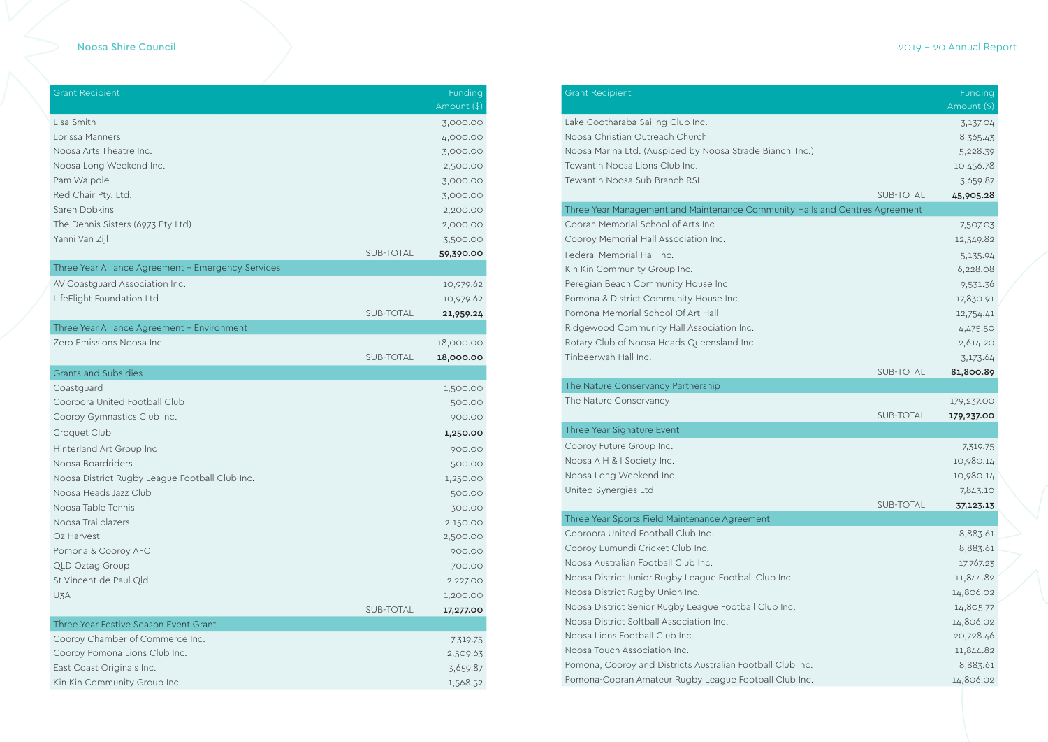## Noosa Shire Council 2019 - 20 Annual Report

| <b>Grant Recipient</b>                             |                  | Funding<br>Amount (\$) |
|----------------------------------------------------|------------------|------------------------|
| Lisa Smith                                         |                  | 3,000.00               |
| Lorissa Manners                                    |                  | 4,000.00               |
| Noosa Arts Theatre Inc.                            |                  | 3,000.00               |
| Noosa Long Weekend Inc.                            |                  | 2,500.00               |
| Pam Walpole                                        |                  | 3,000.00               |
| Red Chair Pty. Ltd.                                |                  | 3,000.00               |
| Saren Dobkins                                      |                  | 2,200.00               |
| The Dennis Sisters (6973 Pty Ltd)                  |                  | 2,000.00               |
| Yanni Van Zijl                                     |                  | 3,500.00               |
|                                                    | SUB-TOTAL        | 59,390.00              |
| Three Year Alliance Agreement - Emergency Services |                  |                        |
| AV Coastguard Association Inc.                     |                  | 10,979.62              |
| LifeFlight Foundation Ltd                          |                  | 10,979.62              |
|                                                    | <b>SUB-TOTAL</b> | 21,959.24              |
| Three Year Alliance Agreement - Environment        |                  |                        |
| Zero Emissions Noosa Inc.                          |                  | 18,000.00              |
|                                                    | <b>SUB-TOTAL</b> | 18,000.00              |
| <b>Grants and Subsidies</b>                        |                  |                        |
| Coastguard                                         |                  | 1,500.00               |
| Cooroora United Football Club                      |                  | 500.00                 |
| Cooroy Gymnastics Club Inc.                        |                  | 900.00                 |
| Croquet Club                                       |                  | 1,250.00               |
| Hinterland Art Group Inc                           |                  | 900.00                 |
| Noosa Boardriders                                  |                  | 500.00                 |
| Noosa District Rugby League Football Club Inc.     |                  | 1,250.00               |
| Noosa Heads Jazz Club                              |                  | 500.00                 |
| Noosa Table Tennis                                 |                  | 300.00                 |
| Noosa Trailblazers                                 |                  | 2,150.00               |
| Oz Harvest                                         |                  | 2,500.00               |
| Pomona & Cooroy AFC                                |                  | 900.00                 |
| <b>QLD Oztag Group</b>                             |                  | 700.00                 |
| St Vincent de Paul Qld                             |                  | 2,227.00               |
| U3A                                                |                  | 1,200.00               |
|                                                    | SUB-TOTAL        | 17,277.00              |
| Three Year Festive Season Event Grant              |                  |                        |
| Cooroy Chamber of Commerce Inc.                    |                  | 7,319.75               |
| Cooroy Pomona Lions Club Inc.                      |                  | 2,509.63               |
| East Coast Originals Inc.                          |                  | 3,659.87               |
| Kin Kin Community Group Inc.                       |                  | 1,568.52               |

# Grant Recipient

### Three Year Management and Maintenance Community

| <b>Grant Recipient</b>                                                      |           | Funding<br>Amount (\$) |  |
|-----------------------------------------------------------------------------|-----------|------------------------|--|
| Lake Cootharaba Sailing Club Inc.                                           |           | 3,137.04               |  |
| Noosa Christian Outreach Church                                             |           | 8,365.43               |  |
| Noosa Marina Ltd. (Auspiced by Noosa Strade Bianchi Inc.)                   |           | 5,228.39               |  |
| Tewantin Noosa Lions Club Inc.                                              |           | 10,456.78              |  |
| Tewantin Noosa Sub Branch RSL                                               |           | 3,659.87               |  |
|                                                                             | SUB-TOTAL | 45,905.28              |  |
| Three Year Management and Maintenance Community Halls and Centres Agreement |           |                        |  |
| Cooran Memorial School of Arts Inc                                          |           | 7,507.03               |  |
| Cooroy Memorial Hall Association Inc.                                       |           | 12,549.82              |  |
| Federal Memorial Hall Inc.                                                  |           | 5,135.94               |  |
| Kin Kin Community Group Inc.                                                |           | 6,228.08               |  |
| Peregian Beach Community House Inc                                          |           | 9,531.36               |  |
| Pomona & District Community House Inc.                                      |           | 17,830.91              |  |
| Pomona Memorial School Of Art Hall                                          |           | 12,754.41              |  |
| Ridgewood Community Hall Association Inc.                                   |           | 4,475.50               |  |
| Rotary Club of Noosa Heads Queensland Inc.                                  |           | 2,614.20               |  |
| Tinbeerwah Hall Inc.                                                        |           | 3,173.64               |  |
|                                                                             | SUB-TOTAL | 81,800.89              |  |
| The Nature Conservancy Partnership                                          |           |                        |  |
| The Nature Conservancy                                                      |           | 179,237.00             |  |
|                                                                             | SUB-TOTAL | 179,237.00             |  |
| Three Year Signature Event                                                  |           |                        |  |
| Cooroy Future Group Inc.                                                    |           | 7,319.75               |  |
| Noosa A H & I Society Inc.                                                  |           | 10,980.14              |  |
| Noosa Long Weekend Inc.                                                     |           | 10,980.14              |  |
| United Synergies Ltd                                                        |           | 7,843.10               |  |
|                                                                             | SUB-TOTAL | 37,123.13              |  |
| Three Year Sports Field Maintenance Agreement                               |           |                        |  |
| Cooroora United Football Club Inc.                                          |           | 8,883.61               |  |
| Cooroy Eumundi Cricket Club Inc.                                            |           | 8,883.61               |  |
| Noosa Australian Football Club Inc.                                         |           | 17,767.23              |  |
| Noosa District Junior Rugby League Football Club Inc.                       |           | 11,844.82              |  |
| Noosa District Rugby Union Inc.                                             |           | 14,806.02              |  |
| Noosa District Senior Rugby League Football Club Inc.                       |           | 14,805.77              |  |
| Noosa District Softball Association Inc.                                    |           | 14,806.02              |  |
| Noosa Lions Football Club Inc.                                              |           | 20,728.46              |  |
| Noosa Touch Association Inc.                                                |           | 11,844.82              |  |
| Pomona, Cooroy and Districts Australian Football Club Inc.                  |           | 8,883.61               |  |
| Pomona-Cooran Amateur Rugby League Football Club Inc.                       |           | 14,806.02              |  |

| The Nature Conservancy Partnership              |
|-------------------------------------------------|
| The Nature Conservancy                          |
| Three Year Signature Event                      |
| Cooroy Future Group Inc.                        |
| Noosa A H & I Society Inc.                      |
| Noosa Long Weekend Inc.                         |
| United Synergies Ltd                            |
|                                                 |
| Three Year Sports Field Maintenance Agreement   |
| Cooroora United Football Club Inc.              |
| Cooroy Eumundi Cricket Club Inc.                |
| Noosa Australian Football Club Inc.             |
| Noosa District Junior Rugby League Football Clu |
| Noosa District Rugby Union Inc.                 |
| Noosa District Senior Rugby League Football Clu |
| Noosa District Softball Association Inc.        |
| Noosa Lions Football Club Inc.                  |
| Noosa Touch Association Inc.                    |
| Pomona, Cooroy and Districts Australian Footbal |
| Pomona-Cooran Amateur Rugby League Footba       |
|                                                 |